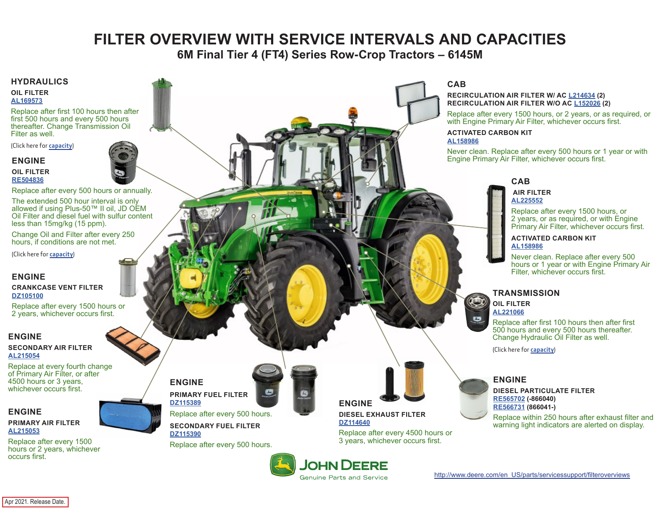# **FILTER OVERVIEW WITH SERVICE INTERVALS AND CAPACITIES**

**6M Final Tier 4 (FT4) Series Row-Crop Tractors – 6145M**

### <span id="page-0-0"></span>**HYDRAULICS**

**OIL FILTER [AL169573](https://jdparts.deere.com/servlet/com.deere.u90.jdparts.view.servlets.partinfocontroller.PartDetails?screenName=JDSearch&&partSearchNumber=AL169573)**

Replace after first 100 hours then after first 500 hours and every 500 hours thereafter. Change Transmission Oil Filter as well.

(Click here for **[capacity](#page-1-0)**)

### **ENGINE**

**OIL FILTER [RE504836](https://jdparts.deere.com/servlet/com.deere.u90.jdparts.view.servlets.partinfocontroller.PartDetails?screenName=JDSearch&&partSearchNumber=RE504836)**



Replace after every 500 hours or annually.

The extended 500 hour interval is only allowed if using Plus-50™ II oil, JD OEM Oil Filter and diesel fuel with sulfur content less than 15mg/kg (15 ppm).

Change Oil and Filter after every 250 hours, if conditions are not met.

(Click here for **[capacity](#page-1-0)**)

## **ENGINE**

**CRANKCASE VENT FILTER [DZ105100](https://jdparts.deere.com/servlet/com.deere.u90.jdparts.view.servlets.partinfocontroller.PartDetails?screenName=JDSearch&&partSearchNumber=DZ105100)**

Replace after every 1500 hours or 2 years, whichever occurs first.

### **ENGINE**

**SECONDARY AIR FILTER [AL215054](https://jdparts.deere.com/servlet/com.deere.u90.jdparts.view.servlets.partinfocontroller.PartDetails?screenName=JDSearch&&partSearchNumber=AL215054)**

Replace at every fourth change of Primary Air Filter, or after 4500 hours or 3 years, whichever occurs first.

## **ENGINE**

**PRIMARY AIR FILTER [AL215053](https://jdparts.deere.com/servlet/com.deere.u90.jdparts.view.servlets.partinfocontroller.PartDetails?screenName=JDSearch&&partSearchNumber=AL215053)**

Replace after every 1500 hours or 2 years, whichever occurs first.



**ENGINE PRIMARY FUEL FILTER [DZ115389](https://jdparts.deere.com/servlet/com.deere.u90.jdparts.view.servlets.partinfocontroller.PartDetails?screenName=JDSearch&&partSearchNumber=DZ115389)** Replace after every 500 hours.

> **SECONDARY FUEL FILTER [DZ115390](https://jdparts.deere.com/servlet/com.deere.u90.jdparts.view.servlets.partinfocontroller.PartDetails?screenName=JDSearch&&partSearchNumber=DZ115390)** Replace after every 500 hours.



**ENGINE DIESEL EXHAUST FILTER [DZ114640](https://jdparts.deere.com/servlet/com.deere.u90.jdparts.view.servlets.partinfocontroller.PartDetails?screenName=JDSearch&&partSearchNumber=DZ114640)**

**JOHN DEERE Genuine Parts and Service** 

Replace after every 4500 hours or 3 years, whichever occurs first.



#### **RECIRCULATION AIR FILTER W/ AC [L214634](https://jdparts.deere.com/servlet/com.deere.u90.jdparts.view.servlets.partinfocontroller.PartDetails?screenName=JDSearch&&partSearchNumber=L214634) (2) RECIRCULATION AIR FILTER W/O AC [L152026](https://jdparts.deere.com/servlet/com.deere.u90.jdparts.view.servlets.partinfocontroller.PartDetails?screenName=JDSearch&&partSearchNumber=L152026) (2)**

Replace after every 1500 hours, or 2 years, or as required, or with Engine Primary Air Filter, whichever occurs first.

#### **ACTIVATED CARBON KIT [AL158986](https://jdparts.deere.com/servlet/com.deere.u90.jdparts.view.servlets.partinfocontroller.PartDetails?screenName=JDSearch&&partSearchNumber=AL158986)**

Never clean. Replace after every 500 hours or 1 year or with Engine Primary Air Filter, whichever occurs first.

# **CAB**

#### **AIR FILTER [AL225552](https://jdparts.deere.com/servlet/com.deere.u90.jdparts.view.servlets.partinfocontroller.PartDetails?screenName=JDSearch&&partSearchNumber=AL225552)**

Replace after every 1500 hours, or 2 years, or as required, or with Engine Primary Air Filter, whichever occurs first.

#### **ACTIVATED CARBON KIT [AL158986](https://jdparts.deere.com/servlet/com.deere.u90.jdparts.view.servlets.partinfocontroller.PartDetails?screenName=JDSearch&&partSearchNumber=AL158986)**

Never clean. Replace after every 500 hours or 1 year or with Engine Primary Air Filter, whichever occurs first.

## **TRANSMISSION**

**OIL FILTER [AL221066](https://jdparts.deere.com/servlet/com.deere.u90.jdparts.view.servlets.partinfocontroller.PartDetails?screenName=JDSearch&&partSearchNumber=AL221066)**

 $\mathbf{C}$ 

 $\bullet$ 

Replace after first 100 hours then after first 500 hours and every 500 hours thereafter. Change Hydraulic Oil Filter as well.

(Click here for **[capacity](#page-1-0)**)

## **ENGINE**

**DIESEL PARTICULATE FILTER [RE565702](https://jdparts.deere.com/servlet/com.deere.u90.jdparts.view.servlets.partinfocontroller.PartDetails?screenName=JDSearch&&partSearchNumber=RE565702) (-866040) [RE566731](https://jdparts.deere.com/servlet/com.deere.u90.jdparts.view.servlets.partinfocontroller.PartDetails?screenName=JDSearch&&partSearchNumber=RE566731) (866041-)**

Replace within 250 hours after exhaust filter and warning light indicators are alerted on display.

Apr 2021. Release Date.